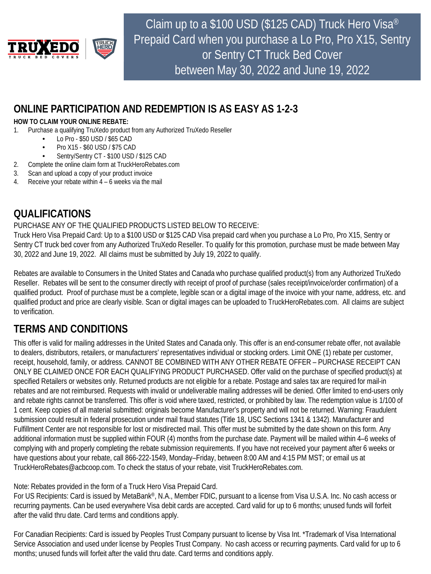

Claim up to a \$100 USD (\$125 CAD) Truck Hero Visa® Prepaid Card when you purchase a Lo Pro, Pro X15, Sentry or Sentry CT Truck Bed Cover between May 30, 2022 and June 19, 2022

## **ONLINE PARTICIPATION AND REDEMPTION IS AS EASY AS 1-2-3**

### **HOW TO CLAIM YOUR ONLINE REBATE:**

- 1. Purchase a qualifying TruXedo product from any Authorized TruXedo Reseller
	- Lo Pro \$50 USD / \$65 CAD
		- Pro X15 \$60 USD / \$75 CAD
		- Sentry/Sentry CT \$100 USD / \$125 CAD
- 2. Complete the online claim form at TruckHeroRebates.com
- 3. Scan and upload a copy of your product invoice
- 4. Receive your rebate within 4 6 weeks via the mail

# **QUALIFICATIONS**

## PURCHASE ANY OF THE QUALIFIED PRODUCTS LISTED BELOW TO RECEIVE:

Truck Hero Visa Prepaid Card: Up to a \$100 USD or \$125 CAD Visa prepaid card when you purchase a Lo Pro, Pro X15, Sentry or Sentry CT truck bed cover from any Authorized TruXedo Reseller. To qualify for this promotion, purchase must be made between May 30, 2022 and June 19, 2022. All claims must be submitted by July 19, 2022 to qualify.

Rebates are available to Consumers in the United States and Canada who purchase qualified product(s) from any Authorized TruXedo Reseller. Rebates will be sent to the consumer directly with receipt of proof of purchase (sales receipt/invoice/order confirmation) of a qualified product. Proof of purchase must be a complete, legible scan or a digital image of the invoice with your name, address, etc. and qualified product and price are clearly visible. Scan or digital images can be uploaded to TruckHeroRebates.com. All claims are subject to verification.

# **TERMS AND CONDITIONS**

This offer is valid for mailing addresses in the United States and Canada only. This offer is an end-consumer rebate offer, not available to dealers, distributors, retailers, or manufacturers' representatives individual or stocking orders. Limit ONE (1) rebate per customer, receipt, household, family, or address. CANNOT BE COMBINED WITH ANY OTHER REBATE OFFER – PURCHASE RECEIPT CAN ONLY BE CLAIMED ONCE FOR EACH QUALIFYING PRODUCT PURCHASED. Offer valid on the purchase of specified product(s) at specified Retailers or websites only. Returned products are not eligible for a rebate. Postage and sales tax are required for mail-in rebates and are not reimbursed. Requests with invalid or undeliverable mailing addresses will be denied. Offer limited to end-users only and rebate rights cannot be transferred. This offer is void where taxed, restricted, or prohibited by law. The redemption value is 1/100 of 1 cent. Keep copies of all material submitted: originals become Manufacturer's property and will not be returned. Warning: Fraudulent submission could result in federal prosecution under mail fraud statutes (Title 18, USC Sections 1341 & 1342). Manufacturer and Fulfillment Center are not responsible for lost or misdirected mail. This offer must be submitted by the date shown on this form. Any additional information must be supplied within FOUR (4) months from the purchase date. Payment will be mailed within 4–6 weeks of complying with and properly completing the rebate submission requirements. If you have not received your payment after 6 weeks or have questions about your rebate, call 866-222-1549, Monday–Friday, between 8:00 AM and 4:15 PM MST; or email us at TruckHeroRebates@acbcoop.com. To check the status of your rebate, visit TruckHeroRebates.com.

Note: Rebates provided in the form of a Truck Hero Visa Prepaid Card.

For US Recipients: Card is issued by MetaBank®, N.A., Member FDIC, pursuant to a license from Visa U.S.A. Inc. No cash access or recurring payments. Can be used everywhere Visa debit cards are accepted. Card valid for up to 6 months; unused funds will forfeit after the valid thru date. Card terms and conditions apply.

months; unused funds will forfeit after the valid thru date. Card terms and conditions apply. For Canadian Recipients: Card is issued by Peoples Trust Company pursuant to license by Visa Int. \*Trademark of Visa International Service Association and used under license by Peoples Trust Company. No cash access or recurring payments. Card valid for up to 6